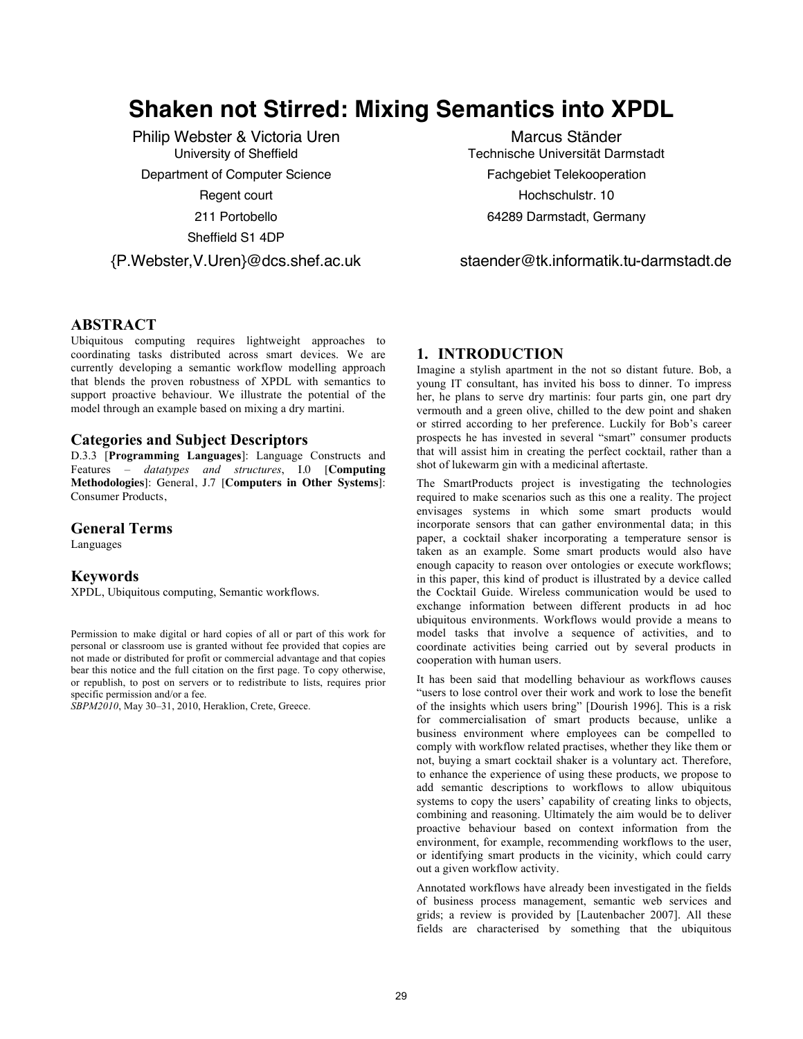# **Shaken not Stirred: Mixing Semantics into XPDL**

Philip Webster & Victoria Uren University of Sheffield Department of Computer Science Regent court 211 Portobello Sheffield S1 4DP

{P.Webster,V.Uren}@dcs.shef.ac.uk

Marcus Ständer Technische Universität Darmstadt Fachgebiet Telekooperation Hochschulstr. 10 64289 Darmstadt, Germany

staender@tk.informatik.tu-darmstadt.de

# **ABSTRACT**

Ubiquitous computing requires lightweight approaches to coordinating tasks distributed across smart devices. We are currently developing a semantic workflow modelling approach that blends the proven robustness of XPDL with semantics to support proactive behaviour. We illustrate the potential of the model through an example based on mixing a dry martini.

## **Categories and Subject Descriptors**

D.3.3 [**Programming Languages**]: Language Constructs and Features – *datatypes and structures*, I.0 [**Computing Methodologies**]: General, J.7 [**Computers in Other Systems**]: Consumer Products,

#### **General Terms**

Languages

## **Keywords**

XPDL, Ubiquitous computing, Semantic workflows.

Permission to make digital or hard copies of all or part of this work for personal or classroom use is granted without fee provided that copies are not made or distributed for profit or commercial advantage and that copies bear this notice and the full citation on the first page. To copy otherwise, or republish, to post on servers or to redistribute to lists, requires prior specific permission and/or a fee.

*SBPM2010*, May 30–31, 2010, Heraklion, Crete, Greece.

# **1. INTRODUCTION**

Imagine a stylish apartment in the not so distant future. Bob, a young IT consultant, has invited his boss to dinner. To impress her, he plans to serve dry martinis: four parts gin, one part dry vermouth and a green olive, chilled to the dew point and shaken or stirred according to her preference. Luckily for Bob's career prospects he has invested in several "smart" consumer products that will assist him in creating the perfect cocktail, rather than a shot of lukewarm gin with a medicinal aftertaste.

The SmartProducts project is investigating the technologies required to make scenarios such as this one a reality. The project envisages systems in which some smart products would incorporate sensors that can gather environmental data; in this paper, a cocktail shaker incorporating a temperature sensor is taken as an example. Some smart products would also have enough capacity to reason over ontologies or execute workflows; in this paper, this kind of product is illustrated by a device called the Cocktail Guide. Wireless communication would be used to exchange information between different products in ad hoc ubiquitous environments. Workflows would provide a means to model tasks that involve a sequence of activities, and to coordinate activities being carried out by several products in cooperation with human users.

It has been said that modelling behaviour as workflows causes "users to lose control over their work and work to lose the benefit of the insights which users bring" [Dourish 1996]. This is a risk for commercialisation of smart products because, unlike a business environment where employees can be compelled to comply with workflow related practises, whether they like them or not, buying a smart cocktail shaker is a voluntary act. Therefore, to enhance the experience of using these products, we propose to add semantic descriptions to workflows to allow ubiquitous systems to copy the users' capability of creating links to objects, combining and reasoning. Ultimately the aim would be to deliver proactive behaviour based on context information from the environment, for example, recommending workflows to the user, or identifying smart products in the vicinity, which could carry out a given workflow activity.

Annotated workflows have already been investigated in the fields of business process management, semantic web services and grids; a review is provided by [Lautenbacher 2007]. All these fields are characterised by something that the ubiquitous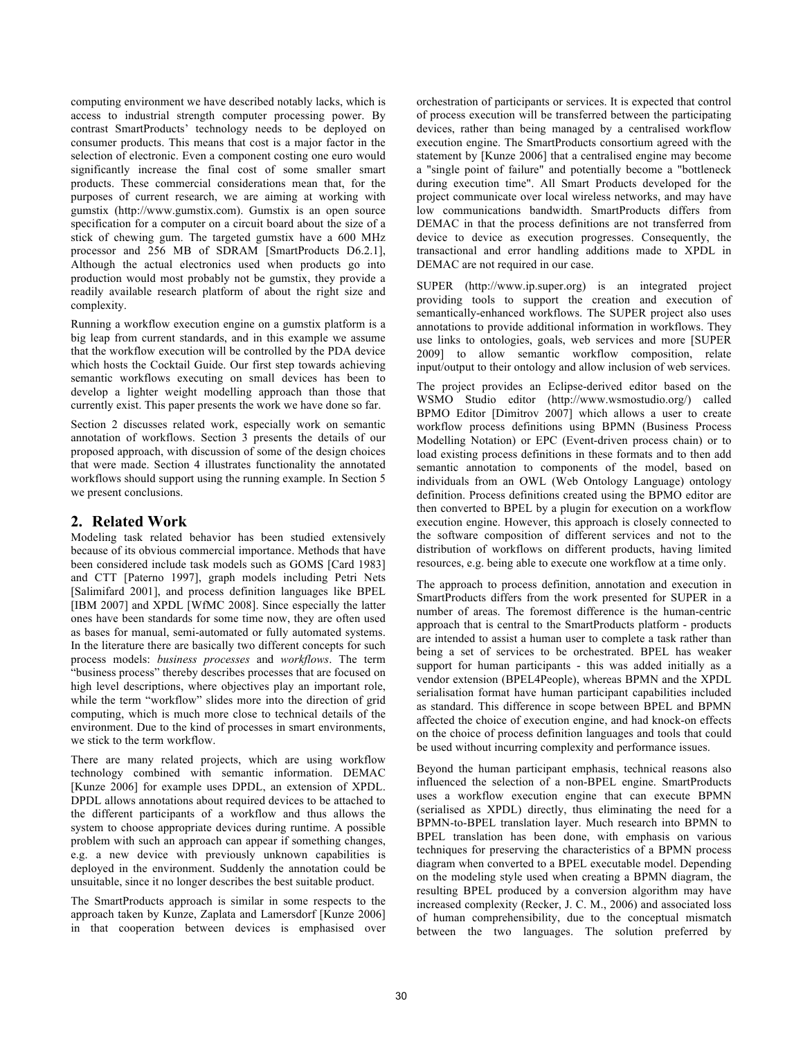computing environment we have described notably lacks, which is access to industrial strength computer processing power. By contrast SmartProducts' technology needs to be deployed on consumer products. This means that cost is a major factor in the selection of electronic. Even a component costing one euro would significantly increase the final cost of some smaller smart products. These commercial considerations mean that, for the purposes of current research, we are aiming at working with gumstix (http://www.gumstix.com). Gumstix is an open source specification for a computer on a circuit board about the size of a stick of chewing gum. The targeted gumstix have a 600 MHz processor and 256 MB of SDRAM [SmartProducts D6.2.1], Although the actual electronics used when products go into production would most probably not be gumstix, they provide a readily available research platform of about the right size and complexity.

Running a workflow execution engine on a gumstix platform is a big leap from current standards, and in this example we assume that the workflow execution will be controlled by the PDA device which hosts the Cocktail Guide. Our first step towards achieving semantic workflows executing on small devices has been to develop a lighter weight modelling approach than those that currently exist. This paper presents the work we have done so far.

Section 2 discusses related work, especially work on semantic annotation of workflows. Section 3 presents the details of our proposed approach, with discussion of some of the design choices that were made. Section 4 illustrates functionality the annotated workflows should support using the running example. In Section 5 we present conclusions.

# **2. Related Work**

Modeling task related behavior has been studied extensively because of its obvious commercial importance. Methods that have been considered include task models such as GOMS [Card 1983] and CTT [Paterno 1997], graph models including Petri Nets [Salimifard 2001], and process definition languages like BPEL [IBM 2007] and XPDL [WfMC 2008]. Since especially the latter ones have been standards for some time now, they are often used as bases for manual, semi-automated or fully automated systems. In the literature there are basically two different concepts for such process models: *business processes* and *workflows*. The term "business process" thereby describes processes that are focused on high level descriptions, where objectives play an important role, while the term "workflow" slides more into the direction of grid computing, which is much more close to technical details of the environment. Due to the kind of processes in smart environments, we stick to the term workflow.

There are many related projects, which are using workflow technology combined with semantic information. DEMAC [Kunze 2006] for example uses DPDL, an extension of XPDL. DPDL allows annotations about required devices to be attached to the different participants of a workflow and thus allows the system to choose appropriate devices during runtime. A possible problem with such an approach can appear if something changes, e.g. a new device with previously unknown capabilities is deployed in the environment. Suddenly the annotation could be unsuitable, since it no longer describes the best suitable product.

The SmartProducts approach is similar in some respects to the approach taken by Kunze, Zaplata and Lamersdorf [Kunze 2006] in that cooperation between devices is emphasised over orchestration of participants or services. It is expected that control of process execution will be transferred between the participating devices, rather than being managed by a centralised workflow execution engine. The SmartProducts consortium agreed with the statement by [Kunze 2006] that a centralised engine may become a "single point of failure" and potentially become a "bottleneck during execution time". All Smart Products developed for the project communicate over local wireless networks, and may have low communications bandwidth. SmartProducts differs from DEMAC in that the process definitions are not transferred from device to device as execution progresses. Consequently, the transactional and error handling additions made to XPDL in DEMAC are not required in our case.

SUPER (http://www.ip.super.org) is an integrated project providing tools to support the creation and execution of semantically-enhanced workflows. The SUPER project also uses annotations to provide additional information in workflows. They use links to ontologies, goals, web services and more [SUPER 2009] to allow semantic workflow composition, relate input/output to their ontology and allow inclusion of web services.

The project provides an Eclipse-derived editor based on the WSMO Studio editor (http://www.wsmostudio.org/) called BPMO Editor [Dimitrov 2007] which allows a user to create workflow process definitions using BPMN (Business Process Modelling Notation) or EPC (Event-driven process chain) or to load existing process definitions in these formats and to then add semantic annotation to components of the model, based on individuals from an OWL (Web Ontology Language) ontology definition. Process definitions created using the BPMO editor are then converted to BPEL by a plugin for execution on a workflow execution engine. However, this approach is closely connected to the software composition of different services and not to the distribution of workflows on different products, having limited resources, e.g. being able to execute one workflow at a time only.

The approach to process definition, annotation and execution in SmartProducts differs from the work presented for SUPER in a number of areas. The foremost difference is the human-centric approach that is central to the SmartProducts platform - products are intended to assist a human user to complete a task rather than being a set of services to be orchestrated. BPEL has weaker support for human participants - this was added initially as a vendor extension (BPEL4People), whereas BPMN and the XPDL serialisation format have human participant capabilities included as standard. This difference in scope between BPEL and BPMN affected the choice of execution engine, and had knock-on effects on the choice of process definition languages and tools that could be used without incurring complexity and performance issues.

Beyond the human participant emphasis, technical reasons also influenced the selection of a non-BPEL engine. SmartProducts uses a workflow execution engine that can execute BPMN (serialised as XPDL) directly, thus eliminating the need for a BPMN-to-BPEL translation layer. Much research into BPMN to BPEL translation has been done, with emphasis on various techniques for preserving the characteristics of a BPMN process diagram when converted to a BPEL executable model. Depending on the modeling style used when creating a BPMN diagram, the resulting BPEL produced by a conversion algorithm may have increased complexity (Recker, J. C. M., 2006) and associated loss of human comprehensibility, due to the conceptual mismatch between the two languages. The solution preferred by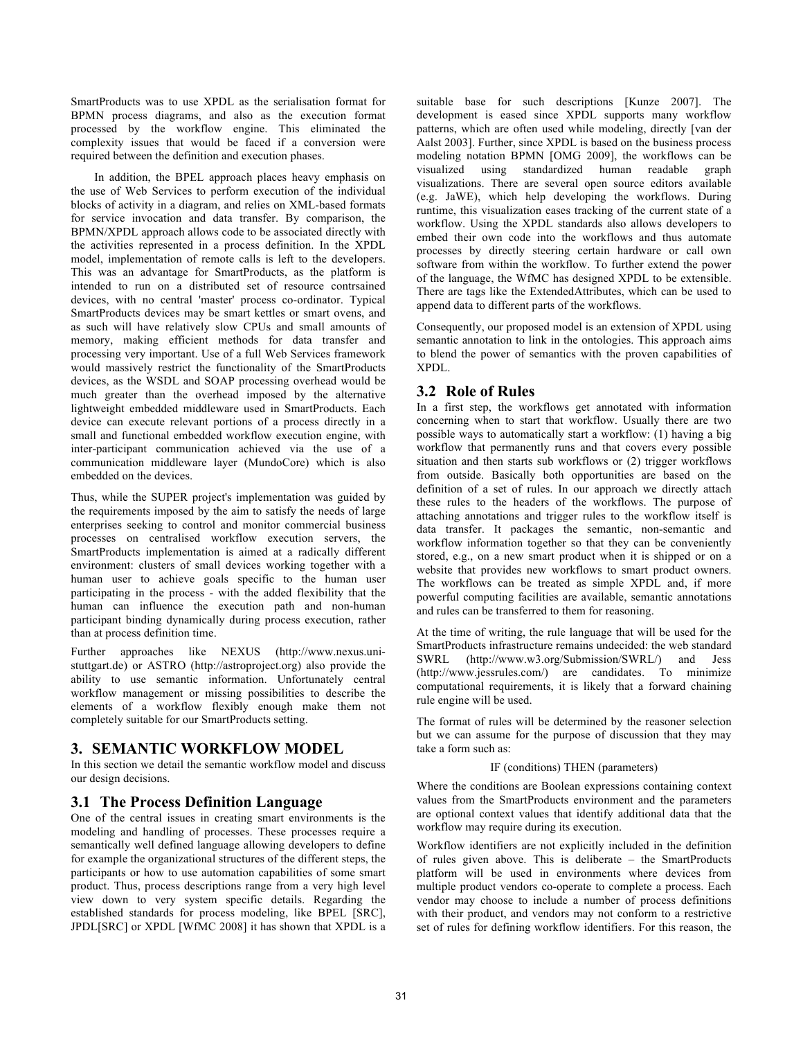SmartProducts was to use XPDL as the serialisation format for BPMN process diagrams, and also as the execution format processed by the workflow engine. This eliminated the complexity issues that would be faced if a conversion were required between the definition and execution phases.

In addition, the BPEL approach places heavy emphasis on the use of Web Services to perform execution of the individual blocks of activity in a diagram, and relies on XML-based formats for service invocation and data transfer. By comparison, the BPMN/XPDL approach allows code to be associated directly with the activities represented in a process definition. In the XPDL model, implementation of remote calls is left to the developers. This was an advantage for SmartProducts, as the platform is intended to run on a distributed set of resource contrsained devices, with no central 'master' process co-ordinator. Typical SmartProducts devices may be smart kettles or smart ovens, and as such will have relatively slow CPUs and small amounts of memory, making efficient methods for data transfer and processing very important. Use of a full Web Services framework would massively restrict the functionality of the SmartProducts devices, as the WSDL and SOAP processing overhead would be much greater than the overhead imposed by the alternative lightweight embedded middleware used in SmartProducts. Each device can execute relevant portions of a process directly in a small and functional embedded workflow execution engine, with inter-participant communication achieved via the use of a communication middleware layer (MundoCore) which is also embedded on the devices.

Thus, while the SUPER project's implementation was guided by the requirements imposed by the aim to satisfy the needs of large enterprises seeking to control and monitor commercial business processes on centralised workflow execution servers, the SmartProducts implementation is aimed at a radically different environment: clusters of small devices working together with a human user to achieve goals specific to the human user participating in the process - with the added flexibility that the human can influence the execution path and non-human participant binding dynamically during process execution, rather than at process definition time.

Further approaches like NEXUS (http://www.nexus.unistuttgart.de) or ASTRO (http://astroproject.org) also provide the ability to use semantic information. Unfortunately central workflow management or missing possibilities to describe the elements of a workflow flexibly enough make them not completely suitable for our SmartProducts setting.

# **3. SEMANTIC WORKFLOW MODEL**

In this section we detail the semantic workflow model and discuss our design decisions.

# **3.1 The Process Definition Language**

One of the central issues in creating smart environments is the modeling and handling of processes. These processes require a semantically well defined language allowing developers to define for example the organizational structures of the different steps, the participants or how to use automation capabilities of some smart product. Thus, process descriptions range from a very high level view down to very system specific details. Regarding the established standards for process modeling, like BPEL [SRC], JPDL[SRC] or XPDL [WfMC 2008] it has shown that XPDL is a

suitable base for such descriptions [Kunze 2007]. The development is eased since XPDL supports many workflow patterns, which are often used while modeling, directly [van der Aalst 2003]. Further, since XPDL is based on the business process modeling notation BPMN [OMG 2009], the workflows can be visualized using standardized human readable graph visualizations. There are several open source editors available (e.g. JaWE), which help developing the workflows. During runtime, this visualization eases tracking of the current state of a workflow. Using the XPDL standards also allows developers to embed their own code into the workflows and thus automate processes by directly steering certain hardware or call own software from within the workflow. To further extend the power of the language, the WfMC has designed XPDL to be extensible. There are tags like the ExtendedAttributes, which can be used to append data to different parts of the workflows.

Consequently, our proposed model is an extension of XPDL using semantic annotation to link in the ontologies. This approach aims to blend the power of semantics with the proven capabilities of XPDL.

# **3.2 Role of Rules**

In a first step, the workflows get annotated with information concerning when to start that workflow. Usually there are two possible ways to automatically start a workflow: (1) having a big workflow that permanently runs and that covers every possible situation and then starts sub workflows or (2) trigger workflows from outside. Basically both opportunities are based on the definition of a set of rules. In our approach we directly attach these rules to the headers of the workflows. The purpose of attaching annotations and trigger rules to the workflow itself is data transfer. It packages the semantic, non-semantic and workflow information together so that they can be conveniently stored, e.g., on a new smart product when it is shipped or on a website that provides new workflows to smart product owners. The workflows can be treated as simple XPDL and, if more powerful computing facilities are available, semantic annotations and rules can be transferred to them for reasoning.

At the time of writing, the rule language that will be used for the SmartProducts infrastructure remains undecided: the web standard SWRL (http://www.w3.org/Submission/SWRL/) and Jess (http://www.jessrules.com/) are candidates. To minimize computational requirements, it is likely that a forward chaining rule engine will be used.

The format of rules will be determined by the reasoner selection but we can assume for the purpose of discussion that they may take a form such as:

#### IF (conditions) THEN (parameters)

Where the conditions are Boolean expressions containing context values from the SmartProducts environment and the parameters are optional context values that identify additional data that the workflow may require during its execution.

Workflow identifiers are not explicitly included in the definition of rules given above. This is deliberate – the SmartProducts platform will be used in environments where devices from multiple product vendors co-operate to complete a process. Each vendor may choose to include a number of process definitions with their product, and vendors may not conform to a restrictive set of rules for defining workflow identifiers. For this reason, the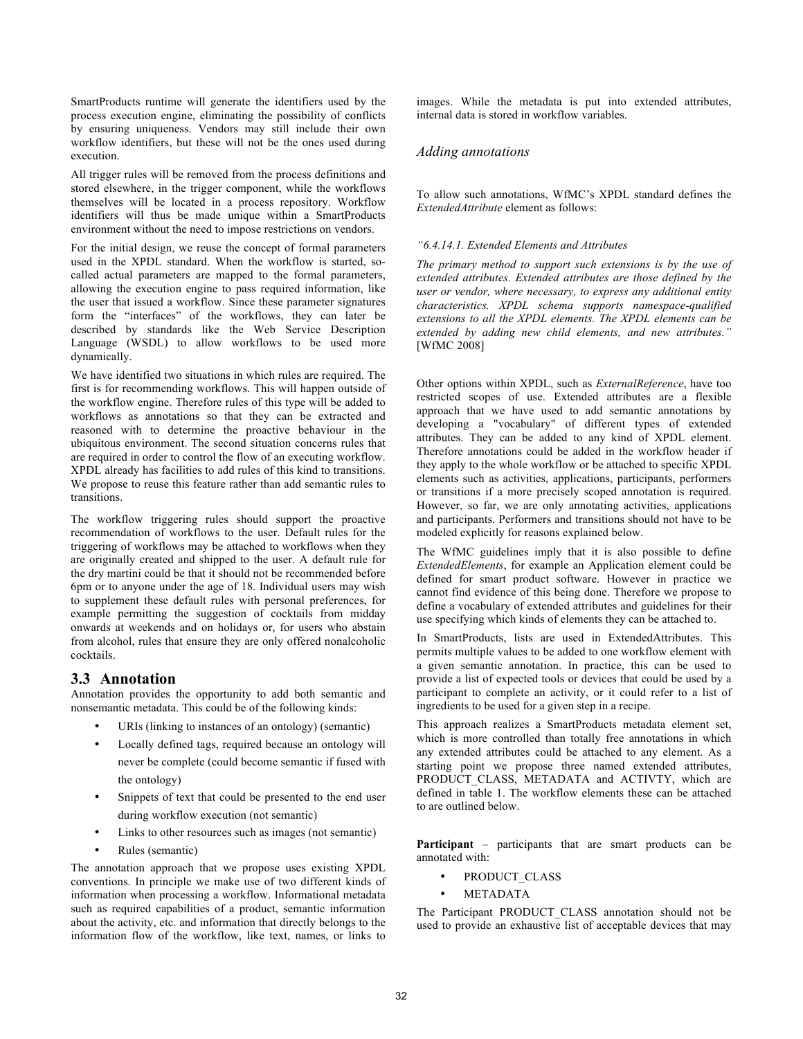SmartProducts runtime will generate the identifiers used by the process execution engine, eliminating the possibility of conflicts by ensuring uniqueness. Vendors may still include their own workflow identifiers, but these will not be the ones used during execution.

All trigger rules will be removed from the process definitions and stored elsewhere, in the trigger component, while the workflows themselves will be located in a process repository. Workflow identifiers will thus be made unique within a SmartProducts environment without the need to impose restrictions on vendors.

For the initial design, we reuse the concept of formal parameters used in the XPDL standard. When the workflow is started, socalled actual parameters are mapped to the formal parameters, allowing the execution engine to pass required information, like the user that issued a workflow. Since these parameter signatures form the "interfaces" of the workflows, they can later be described by standards like the Web Service Description Language (WSDL) to allow workflows to be used more dynamically.

We have identified two situations in which rules are required. The first is for recommending workflows. This will happen outside of the workflow engine. Therefore rules of this type will be added to workflows as annotations so that they can be extracted and reasoned with to determine the proactive behaviour in the ubiquitous environment. The second situation concerns rules that are required in order to control the flow of an executing workflow. XPDL already has facilities to add rules of this kind to transitions. We propose to reuse this feature rather than add semantic rules to transitions.

The workflow triggering rules should support the proactive recommendation of workflows to the user. Default rules for the triggering of workflows may be attached to workflows when they are originally created and shipped to the user. A default rule for the dry martini could be that it should not be recommended before 6pm or to anyone under the age of 18. Individual users may wish to supplement these default rules with personal preferences, for example permitting the suggestion of cocktails from midday onwards at weekends and on holidays or, for users who abstain from alcohol, rules that ensure they are only offered nonalcoholic cocktails.

### **3.3 Annotation**

Annotation provides the opportunity to add both semantic and nonsemantic metadata. This could be of the following kinds:

- URIs (linking to instances of an ontology) (semantic)
- Locally defined tags, required because an ontology will never be complete (could become semantic if fused with the ontology)
- Snippets of text that could be presented to the end user during workflow execution (not semantic)
- Links to other resources such as images (not semantic)
- Rules (semantic)

The annotation approach that we propose uses existing XPDL conventions. In principle we make use of two different kinds of information when processing a workflow. Informational metadata such as required capabilities of a product, semantic information about the activity, etc. and information that directly belongs to the information flow of the workflow, like text, names, or links to

images. While the metadata is put into extended attributes, internal data is stored in workflow variables.

#### *Adding annotations*

To allow such annotations, WfMC's XPDL standard defines the *ExtendedAttribute* element as follows:

#### *"6.4.14.1. Extended Elements and Attributes*

*The primary method to support such extensions is by the use of extended attributes. Extended attributes are those defined by the user or vendor, where necessary, to express any additional entity characteristics. XPDL schema supports namespace-qualified extensions to all the XPDL elements. The XPDL elements can be extended by adding new child elements, and new attributes."* [WfMC 2008]

Other options within XPDL, such as *ExternalReference*, have too restricted scopes of use. Extended attributes are a flexible approach that we have used to add semantic annotations by developing a "vocabulary" of different types of extended attributes. They can be added to any kind of XPDL element. Therefore annotations could be added in the workflow header if they apply to the whole workflow or be attached to specific XPDL elements such as activities, applications, participants, performers or transitions if a more precisely scoped annotation is required. However, so far, we are only annotating activities, applications and participants. Performers and transitions should not have to be modeled explicitly for reasons explained below.

The WfMC guidelines imply that it is also possible to define *ExtendedElements*, for example an Application element could be defined for smart product software. However in practice we cannot find evidence of this being done. Therefore we propose to define a vocabulary of extended attributes and guidelines for their use specifying which kinds of elements they can be attached to.

In SmartProducts, lists are used in ExtendedAttributes. This permits multiple values to be added to one workflow element with a given semantic annotation. In practice, this can be used to provide a list of expected tools or devices that could be used by a participant to complete an activity, or it could refer to a list of ingredients to be used for a given step in a recipe.

This approach realizes a SmartProducts metadata element set, which is more controlled than totally free annotations in which any extended attributes could be attached to any element. As a starting point we propose three named extended attributes, PRODUCT CLASS, METADATA and ACTIVTY, which are defined in table 1. The workflow elements these can be attached to are outlined below.

**Participant** – participants that are smart products can be annotated with:

- PRODUCT\_CLASS
- METADATA

The Participant PRODUCT\_CLASS annotation should not be used to provide an exhaustive list of acceptable devices that may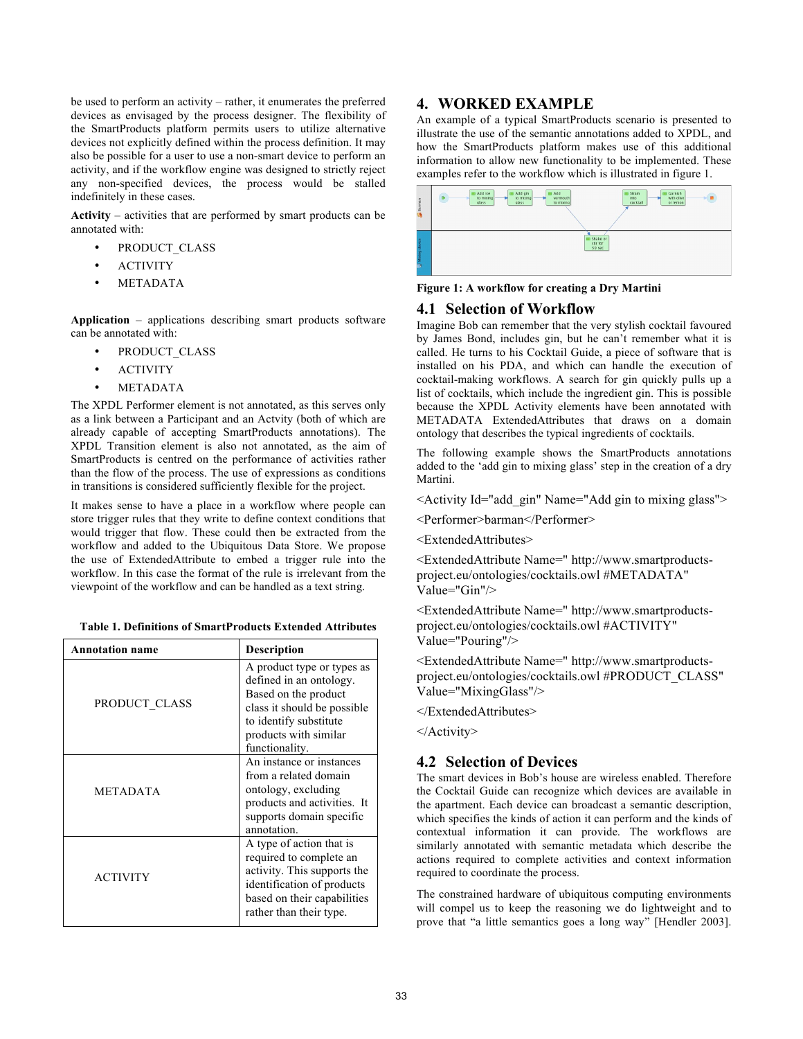be used to perform an activity – rather, it enumerates the preferred devices as envisaged by the process designer. The flexibility of the SmartProducts platform permits users to utilize alternative devices not explicitly defined within the process definition. It may also be possible for a user to use a non-smart device to perform an activity, and if the workflow engine was designed to strictly reject any non-specified devices, the process would be stalled indefinitely in these cases.

**Activity** – activities that are performed by smart products can be annotated with:

- PRODUCT\_CLASS
- ACTIVITY
- **METADATA**

**Application** – applications describing smart products software can be annotated with:

- PRODUCT\_CLASS
- ACTIVITY
- **METADATA**

The XPDL Performer element is not annotated, as this serves only as a link between a Participant and an Actvity (both of which are already capable of accepting SmartProducts annotations). The XPDL Transition element is also not annotated, as the aim of SmartProducts is centred on the performance of activities rather than the flow of the process. The use of expressions as conditions in transitions is considered sufficiently flexible for the project.

It makes sense to have a place in a workflow where people can store trigger rules that they write to define context conditions that would trigger that flow. These could then be extracted from the workflow and added to the Ubiquitous Data Store. We propose the use of ExtendedAttribute to embed a trigger rule into the workflow. In this case the format of the rule is irrelevant from the viewpoint of the workflow and can be handled as a text string.

**Table 1. Definitions of SmartProducts Extended Attributes**

| <b>Annotation name</b> | <b>Description</b>                                                                                                                                                                 |
|------------------------|------------------------------------------------------------------------------------------------------------------------------------------------------------------------------------|
| PRODUCT CLASS          | A product type or types as<br>defined in an ontology.<br>Based on the product<br>class it should be possible.<br>to identify substitute<br>products with similar<br>functionality. |
| <b>METADATA</b>        | An instance or instances<br>from a related domain<br>ontology, excluding<br>products and activities. It<br>supports domain specific<br>annotation.                                 |
| <b>ACTIVITY</b>        | A type of action that is<br>required to complete an<br>activity. This supports the<br>identification of products<br>based on their capabilities<br>rather than their type.         |

## **4. WORKED EXAMPLE**

An example of a typical SmartProducts scenario is presented to illustrate the use of the semantic annotations added to XPDL, and how the SmartProducts platform makes use of this additional information to allow new functionality to be implemented. These examples refer to the workflow which is illustrated in figure 1.

| Saman         | Add gin<br>Add ice<br>Add<br>Garnish<br><b>Em</b> Strain<br>m<br>٠<br>with olive<br>vermouth<br>to mixing<br>into<br>to mixing<br>to mixing<br>cocktail<br>glass<br>or lemon<br>glass |
|---------------|---------------------------------------------------------------------------------------------------------------------------------------------------------------------------------------|
| Mixing device | Shake or<br>stir for<br>30 sec                                                                                                                                                        |

**Figure 1: A workflow for creating a Dry Martini**

# **4.1 Selection of Workflow**

Imagine Bob can remember that the very stylish cocktail favoured by James Bond, includes gin, but he can't remember what it is called. He turns to his Cocktail Guide, a piece of software that is installed on his PDA, and which can handle the execution of cocktail-making workflows. A search for gin quickly pulls up a list of cocktails, which include the ingredient gin. This is possible because the XPDL Activity elements have been annotated with METADATA ExtendedAttributes that draws on a domain ontology that describes the typical ingredients of cocktails.

The following example shows the SmartProducts annotations added to the 'add gin to mixing glass' step in the creation of a dry Martini.

<Activity Id="add\_gin" Name="Add gin to mixing glass">

<Performer>barman</Performer>

<ExtendedAttributes>

<ExtendedAttribute Name=" http://www.smartproductsproject.eu/ontologies/cocktails.owl #METADATA" Value="Gin"/>

<ExtendedAttribute Name=" http://www.smartproductsproject.eu/ontologies/cocktails.owl #ACTIVITY" Value="Pouring"/>

<ExtendedAttribute Name=" http://www.smartproductsproject.eu/ontologies/cocktails.owl #PRODUCT\_CLASS" Value="MixingGlass"/>

</ExtendedAttributes>

</Activity>

# **4.2 Selection of Devices**

The smart devices in Bob's house are wireless enabled. Therefore the Cocktail Guide can recognize which devices are available in the apartment. Each device can broadcast a semantic description, which specifies the kinds of action it can perform and the kinds of contextual information it can provide. The workflows are similarly annotated with semantic metadata which describe the actions required to complete activities and context information required to coordinate the process.

The constrained hardware of ubiquitous computing environments will compel us to keep the reasoning we do lightweight and to prove that "a little semantics goes a long way" [Hendler 2003].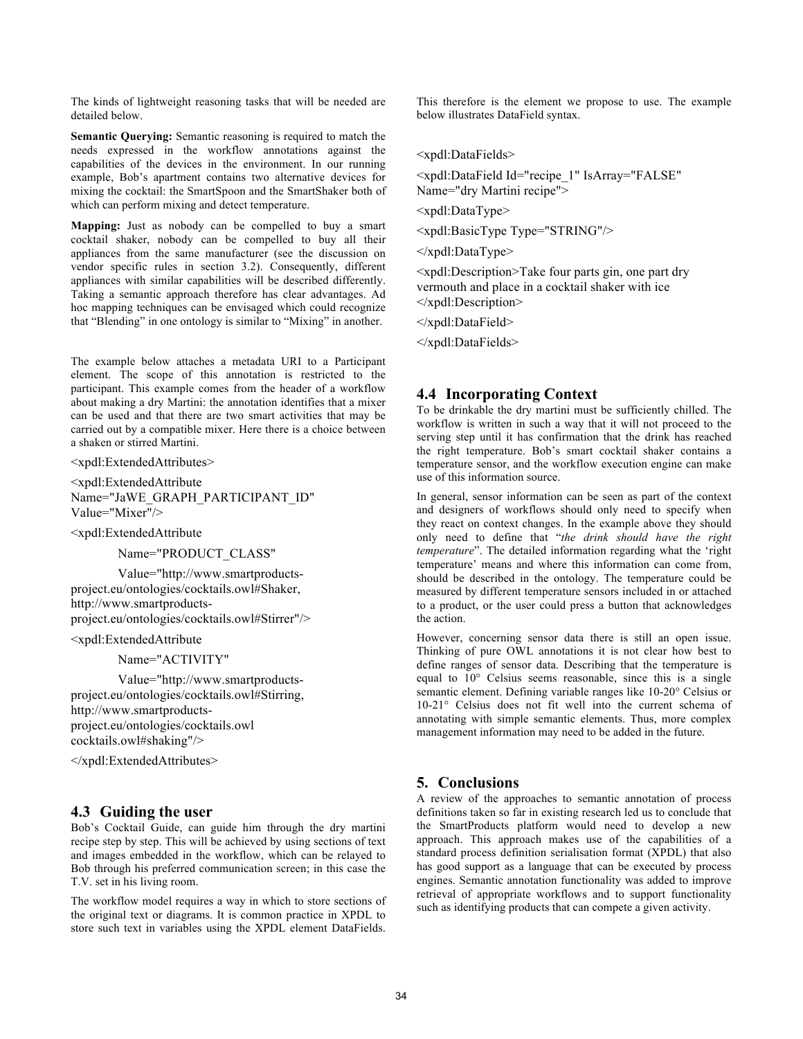The kinds of lightweight reasoning tasks that will be needed are detailed below.

**Semantic Querying:** Semantic reasoning is required to match the needs expressed in the workflow annotations against the capabilities of the devices in the environment. In our running example, Bob's apartment contains two alternative devices for mixing the cocktail: the SmartSpoon and the SmartShaker both of which can perform mixing and detect temperature.

**Mapping:** Just as nobody can be compelled to buy a smart cocktail shaker, nobody can be compelled to buy all their appliances from the same manufacturer (see the discussion on vendor specific rules in section 3.2). Consequently, different appliances with similar capabilities will be described differently. Taking a semantic approach therefore has clear advantages. Ad hoc mapping techniques can be envisaged which could recognize that "Blending" in one ontology is similar to "Mixing" in another.

The example below attaches a metadata URI to a Participant element. The scope of this annotation is restricted to the participant. This example comes from the header of a workflow about making a dry Martini: the annotation identifies that a mixer can be used and that there are two smart activities that may be carried out by a compatible mixer. Here there is a choice between a shaken or stirred Martini.

<xpdl:ExtendedAttributes>

<xpdl:ExtendedAttribute Name="JaWE\_GRAPH\_PARTICIPANT\_ID" Value="Mixer"/>

<xpdl:ExtendedAttribute

Name="PRODUCT\_CLASS"

Value="http://www.smartproductsproject.eu/ontologies/cocktails.owl#Shaker, http://www.smartproductsproject.eu/ontologies/cocktails.owl#Stirrer"/>

<xpdl:ExtendedAttribute

Name="ACTIVITY"

Value="http://www.smartproductsproject.eu/ontologies/cocktails.owl#Stirring, http://www.smartproductsproject.eu/ontologies/cocktails.owl cocktails.owl#shaking"/>

</xpdl:ExtendedAttributes>

# **4.3 Guiding the user**

Bob's Cocktail Guide, can guide him through the dry martini recipe step by step. This will be achieved by using sections of text and images embedded in the workflow, which can be relayed to Bob through his preferred communication screen; in this case the T.V. set in his living room.

The workflow model requires a way in which to store sections of the original text or diagrams. It is common practice in XPDL to store such text in variables using the XPDL element DataFields.

This therefore is the element we propose to use. The example below illustrates DataField syntax.

<xpdl:DataFields>

<xpdl:DataField Id="recipe\_1" IsArray="FALSE" Name="dry Martini recipe">

<xpdl:DataType>

<xpdl:BasicType Type="STRING"/>

</xpdl:DataType>

<xpdl:Description>Take four parts gin, one part dry vermouth and place in a cocktail shaker with ice </xpdl:Description>

</xpdl:DataField>

</xpdl:DataFields>

## **4.4 Incorporating Context**

To be drinkable the dry martini must be sufficiently chilled. The workflow is written in such a way that it will not proceed to the serving step until it has confirmation that the drink has reached the right temperature. Bob's smart cocktail shaker contains a temperature sensor, and the workflow execution engine can make use of this information source.

In general, sensor information can be seen as part of the context and designers of workflows should only need to specify when they react on context changes. In the example above they should only need to define that "*the drink should have the right temperature*". The detailed information regarding what the 'right temperature' means and where this information can come from, should be described in the ontology. The temperature could be measured by different temperature sensors included in or attached to a product, or the user could press a button that acknowledges the action.

However, concerning sensor data there is still an open issue. Thinking of pure OWL annotations it is not clear how best to define ranges of sensor data. Describing that the temperature is equal to 10° Celsius seems reasonable, since this is a single semantic element. Defining variable ranges like 10-20° Celsius or 10-21° Celsius does not fit well into the current schema of annotating with simple semantic elements. Thus, more complex management information may need to be added in the future.

# **5. Conclusions**

A review of the approaches to semantic annotation of process definitions taken so far in existing research led us to conclude that the SmartProducts platform would need to develop a new approach. This approach makes use of the capabilities of a standard process definition serialisation format (XPDL) that also has good support as a language that can be executed by process engines. Semantic annotation functionality was added to improve retrieval of appropriate workflows and to support functionality such as identifying products that can compete a given activity.